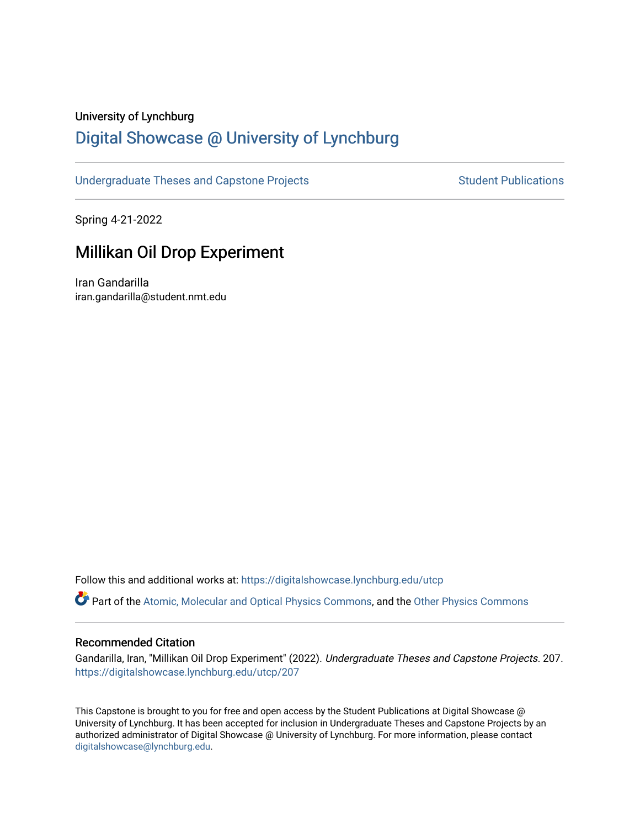### University of Lynchburg

# [Digital Showcase @ University of Lynchburg](https://digitalshowcase.lynchburg.edu/)

[Undergraduate Theses and Capstone Projects](https://digitalshowcase.lynchburg.edu/utcp) Student Publications

Spring 4-21-2022

# Millikan Oil Drop Experiment

Iran Gandarilla iran.gandarilla@student.nmt.edu

Follow this and additional works at: [https://digitalshowcase.lynchburg.edu/utcp](https://digitalshowcase.lynchburg.edu/utcp?utm_source=digitalshowcase.lynchburg.edu%2Futcp%2F207&utm_medium=PDF&utm_campaign=PDFCoverPages)

Part of the [Atomic, Molecular and Optical Physics Commons,](https://network.bepress.com/hgg/discipline/195?utm_source=digitalshowcase.lynchburg.edu%2Futcp%2F207&utm_medium=PDF&utm_campaign=PDFCoverPages) and the [Other Physics Commons](https://network.bepress.com/hgg/discipline/207?utm_source=digitalshowcase.lynchburg.edu%2Futcp%2F207&utm_medium=PDF&utm_campaign=PDFCoverPages) 

#### Recommended Citation

Gandarilla, Iran, "Millikan Oil Drop Experiment" (2022). Undergraduate Theses and Capstone Projects. 207. [https://digitalshowcase.lynchburg.edu/utcp/207](https://digitalshowcase.lynchburg.edu/utcp/207?utm_source=digitalshowcase.lynchburg.edu%2Futcp%2F207&utm_medium=PDF&utm_campaign=PDFCoverPages)

This Capstone is brought to you for free and open access by the Student Publications at Digital Showcase @ University of Lynchburg. It has been accepted for inclusion in Undergraduate Theses and Capstone Projects by an authorized administrator of Digital Showcase @ University of Lynchburg. For more information, please contact [digitalshowcase@lynchburg.edu](mailto:digitalshowcase@lynchburg.edu).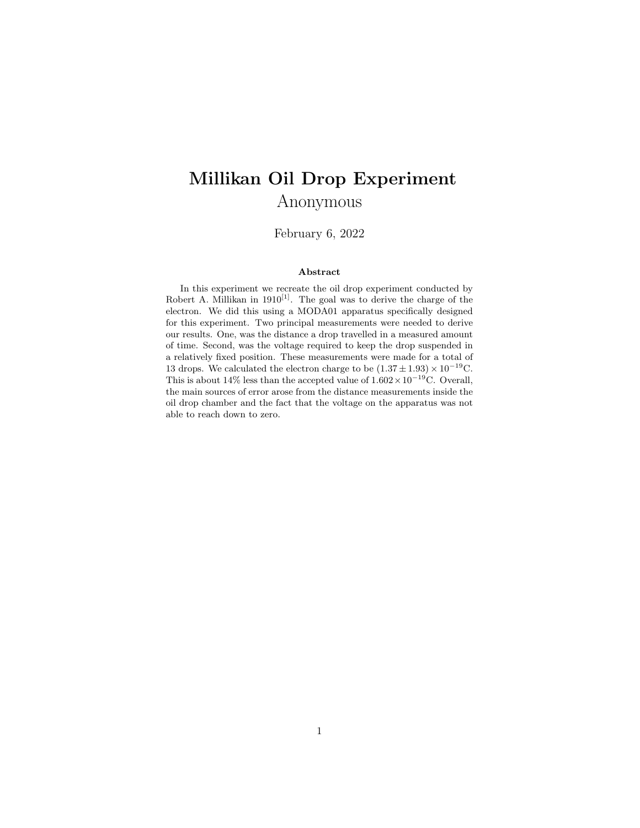# Millikan Oil Drop Experiment Anonymous

February 6, 2022

#### Abstract

In this experiment we recreate the oil drop experiment conducted by Robert A. Millikan in  $1910^{[1]}$ . The goal was to derive the charge of the electron. We did this using a MODA01 apparatus specifically designed for this experiment. Two principal measurements were needed to derive our results. One, was the distance a drop travelled in a measured amount of time. Second, was the voltage required to keep the drop suspended in a relatively fixed position. These measurements were made for a total of 13 drops. We calculated the electron charge to be  $(1.37 \pm 1.93) \times 10^{-19}$ C. This is about 14% less than the accepted value of  $1.602 \times 10^{-19}$ C. Overall, the main sources of error arose from the distance measurements inside the oil drop chamber and the fact that the voltage on the apparatus was not able to reach down to zero.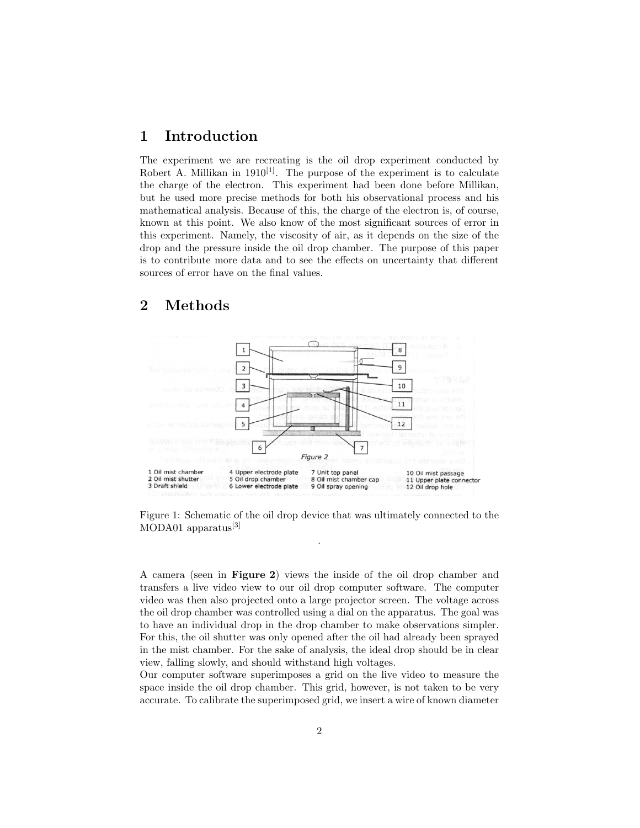### 1 Introduction

The experiment we are recreating is the oil drop experiment conducted by Robert A. Millikan in  $1910^{[1]}$ . The purpose of the experiment is to calculate the charge of the electron. This experiment had been done before Millikan, but he used more precise methods for both his observational process and his mathematical analysis. Because of this, the charge of the electron is, of course, known at this point. We also know of the most significant sources of error in this experiment. Namely, the viscosity of air, as it depends on the size of the drop and the pressure inside the oil drop chamber. The purpose of this paper is to contribute more data and to see the effects on uncertainty that different sources of error have on the final values.

#### $\mathbf{a}$  $\mathbf{1}$  $\overline{2}$  $\overline{Q}$  $\mathsf 3$ 10  $11$  $\overline{4}$  $12$  $\epsilon$  $\overline{z}$ Figure 2 1 Oil mist chamber 4 Upper electrode plate 7 Unit top panel 10 Oil mist passage 8 Oil mist chamber cap 2 Oil mist shutter 5 Oil drop chambe 11 Upper plate connector 9 Oil spray opening 3 Draft shield 6 Lower electrode plate 12 Oil drop hole

#### 2 Methods

Figure 1: Schematic of the oil drop device that was ultimately connected to the MODA01 apparatus<sup>[3]</sup> .

A camera (seen in Figure 2) views the inside of the oil drop chamber and transfers a live video view to our oil drop computer software. The computer video was then also projected onto a large projector screen. The voltage across the oil drop chamber was controlled using a dial on the apparatus. The goal was to have an individual drop in the drop chamber to make observations simpler. For this, the oil shutter was only opened after the oil had already been sprayed in the mist chamber. For the sake of analysis, the ideal drop should be in clear view, falling slowly, and should withstand high voltages.

Our computer software superimposes a grid on the live video to measure the space inside the oil drop chamber. This grid, however, is not taken to be very accurate. To calibrate the superimposed grid, we insert a wire of known diameter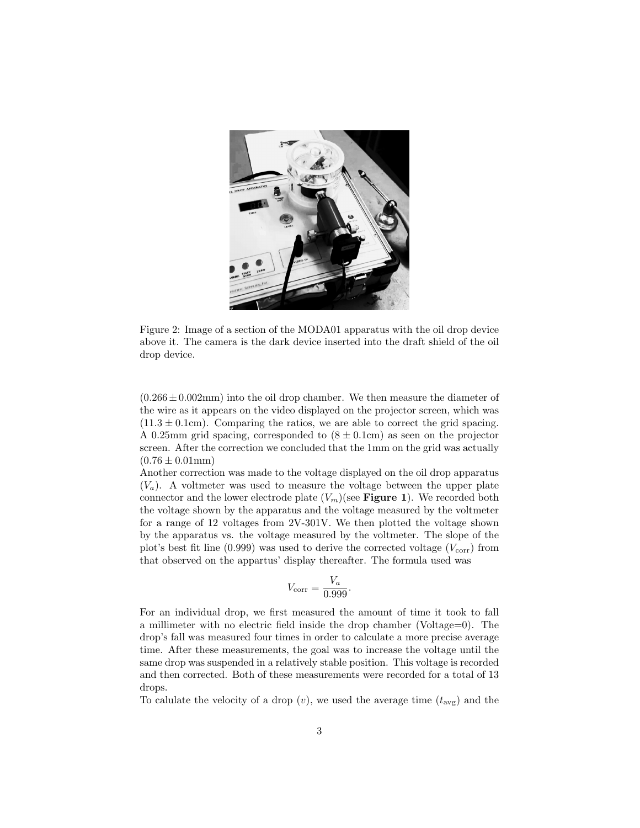

Figure 2: Image of a section of the MODA01 apparatus with the oil drop device above it. The camera is the dark device inserted into the draft shield of the oil drop device.

 $(0.266 \pm 0.002 \text{mm})$  into the oil drop chamber. We then measure the diameter of the wire as it appears on the video displayed on the projector screen, which was  $(11.3 \pm 0.1 \text{cm})$ . Comparing the ratios, we are able to correct the grid spacing. A 0.25mm grid spacing, corresponded to  $(8 \pm 0.1 \text{cm})$  as seen on the projector screen. After the correction we concluded that the 1mm on the grid was actually  $(0.76 \pm 0.01$  mm)

Another correction was made to the voltage displayed on the oil drop apparatus  $(V_a)$ . A voltmeter was used to measure the voltage between the upper plate connector and the lower electrode plate  $(V_m)(\text{see Figure 1}).$  We recorded both the voltage shown by the apparatus and the voltage measured by the voltmeter for a range of 12 voltages from 2V-301V. We then plotted the voltage shown by the apparatus vs. the voltage measured by the voltmeter. The slope of the plot's best fit line (0.999) was used to derive the corrected voltage  $(V_{\text{corr}})$  from that observed on the appartus' display thereafter. The formula used was

$$
V_{\text{corr}} = \frac{V_a}{0.999}.
$$

For an individual drop, we first measured the amount of time it took to fall a millimeter with no electric field inside the drop chamber (Voltage=0). The drop's fall was measured four times in order to calculate a more precise average time. After these measurements, the goal was to increase the voltage until the same drop was suspended in a relatively stable position. This voltage is recorded and then corrected. Both of these measurements were recorded for a total of 13 drops.

To calulate the velocity of a drop  $(v)$ , we used the average time  $(t_{\text{avg}})$  and the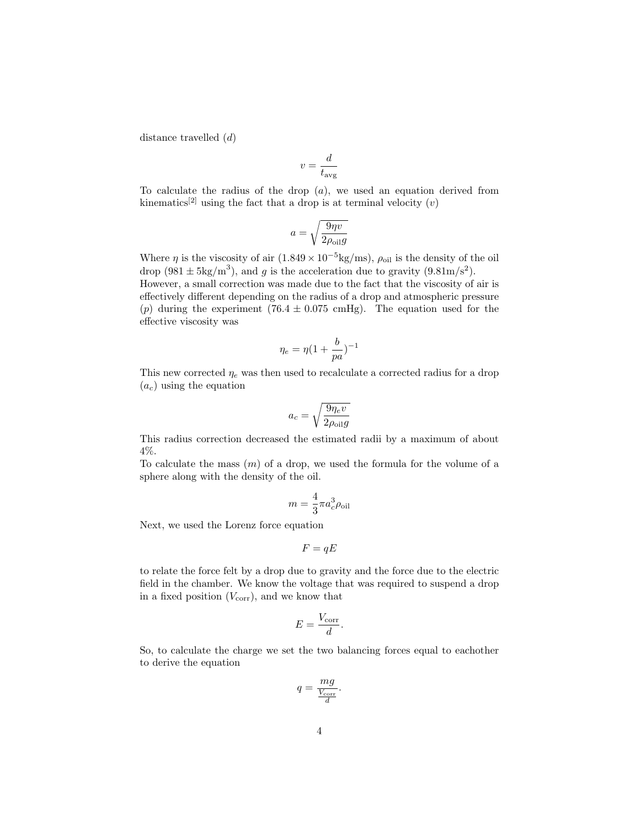distance travelled (d)

$$
v = \frac{d}{t_{\text{avg}}}
$$

To calculate the radius of the drop  $(a)$ , we used an equation derived from kinematics<sup>[2]</sup> using the fact that a drop is at terminal velocity  $(v)$ 

$$
a = \sqrt{\frac{9\eta v}{2\rho_{\text{oil}}g}}
$$

Where  $\eta$  is the viscosity of air  $(1.849 \times 10^{-5} \text{kg}/\text{ms})$ ,  $\rho_{\text{oil}}$  is the density of the oil drop  $(981 \pm 5 \text{kg/m}^3)$ , and g is the acceleration due to gravity  $(9.81 \text{m/s}^2)$ . However, a small correction was made due to the fact that the viscosity of air is

effectively different depending on the radius of a drop and atmospheric pressure (p) during the experiment  $(76.4 \pm 0.075 \text{ cmHg})$ . The equation used for the effective viscosity was

$$
\eta_e = \eta (1 + \frac{b}{pa})^{-1}
$$

This new corrected  $\eta_e$  was then used to recalculate a corrected radius for a drop  $(a_c)$  using the equation

$$
a_c = \sqrt{\frac{9\eta_e v}{2\rho_{\text{oil}}g}}
$$

This radius correction decreased the estimated radii by a maximum of about 4%.

To calculate the mass  $(m)$  of a drop, we used the formula for the volume of a sphere along with the density of the oil.

$$
m=\frac{4}{3}\pi a_c^3\rho_{\rm oil}
$$

Next, we used the Lorenz force equation

$$
F = qE
$$

to relate the force felt by a drop due to gravity and the force due to the electric field in the chamber. We know the voltage that was required to suspend a drop in a fixed position  $(V_{\text{corr}})$ , and we know that

$$
E = \frac{V_{\text{corr}}}{d}.
$$

So, to calculate the charge we set the two balancing forces equal to eachother to derive the equation

$$
q = \frac{mg}{\frac{V_{\text{corr}}}{d}}.
$$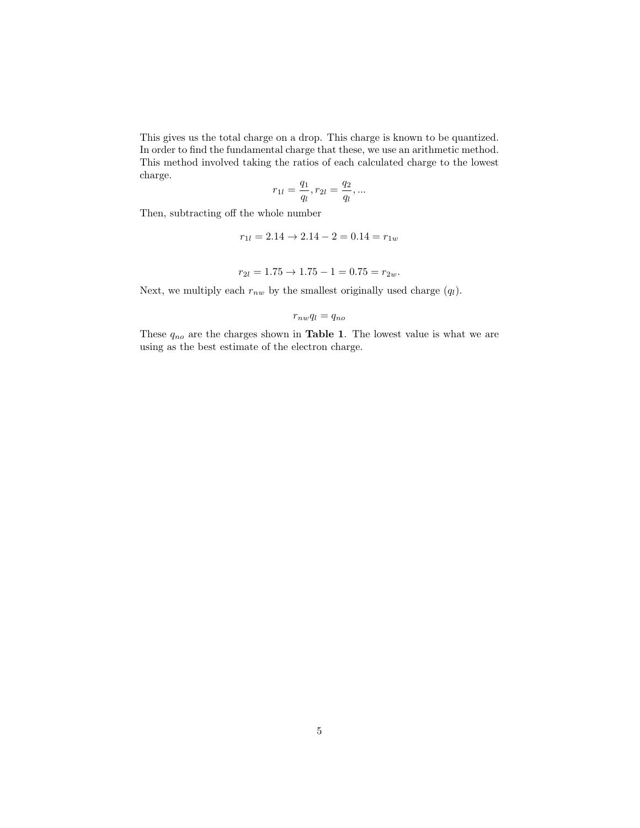This gives us the total charge on a drop. This charge is known to be quantized. In order to find the fundamental charge that these, we use an arithmetic method. This method involved taking the ratios of each calculated charge to the lowest charge.

$$
r_{1l}=\frac{q_1}{q_l}, r_{2l}=\frac{q_2}{q_l},\ldots
$$

Then, subtracting off the whole number

$$
r_{1l} = 2.14 \rightarrow 2.14 - 2 = 0.14 = r_{1w}
$$

$$
r_{2l} = 1.75 \rightarrow 1.75 - 1 = 0.75 = r_{2w}.
$$

Next, we multiply each  $r_{nw}$  by the smallest originally used charge  $(q_l)$ .

$$
r_{nw}q_l = q_{no}
$$

These  $q_{no}$  are the charges shown in **Table 1**. The lowest value is what we are using as the best estimate of the electron charge.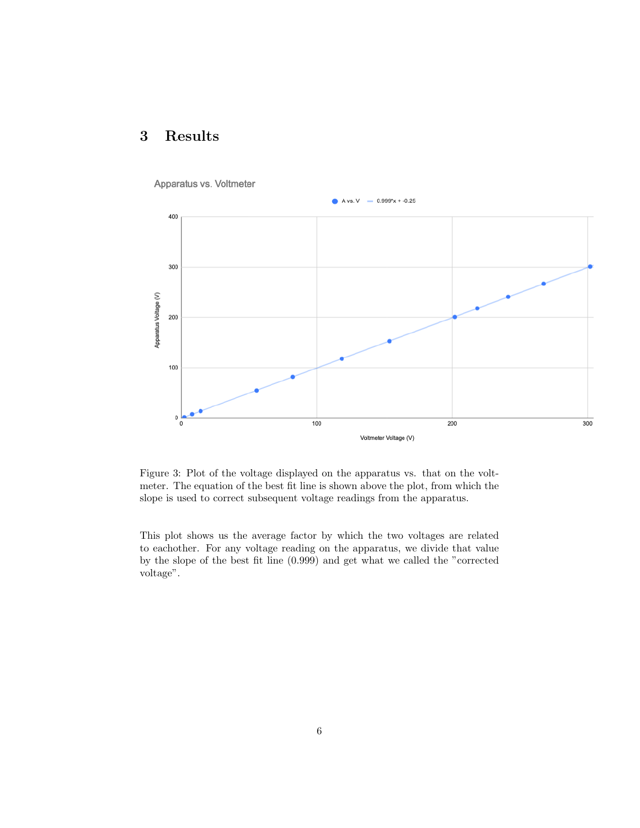## 3 Results



Apparatus vs. Voltmeter

Figure 3: Plot of the voltage displayed on the apparatus vs. that on the voltmeter. The equation of the best fit line is shown above the plot, from which the slope is used to correct subsequent voltage readings from the apparatus.

This plot shows us the average factor by which the two voltages are related to eachother. For any voltage reading on the apparatus, we divide that value by the slope of the best fit line (0.999) and get what we called the "corrected voltage".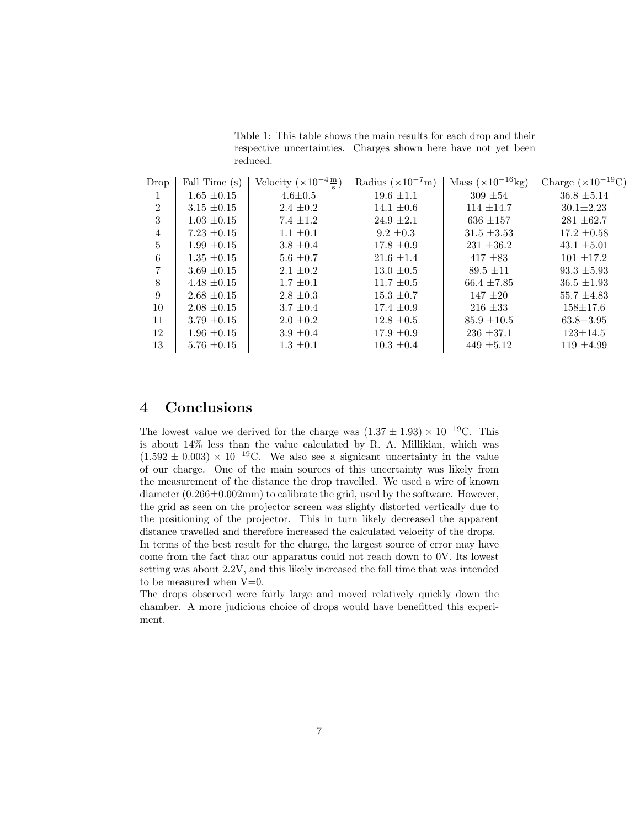Table 1: This table shows the main results for each drop and their respective uncertainties. Charges shown here have not yet been reduced.

| Drop           | Fall Time (s)   | Velocity $(\times 10^{-4} \frac{\text{m}}{\text{s}})$ | Radius $(\times 10^{-7} \text{m})$ | $\overline{\text{Mass}(\times 10^{-16} \text{kg})}$ | Charge ( $\times 10^{-19}$ C |
|----------------|-----------------|-------------------------------------------------------|------------------------------------|-----------------------------------------------------|------------------------------|
| $\mathbf{I}$   | $1.65 \pm 0.15$ | $4.6 \pm 0.5$                                         | $19.6 \pm 1.1$                     | $309 \pm 54$                                        | $36.8 \pm 5.14$              |
| $\overline{2}$ | $3.15 \pm 0.15$ | $2.4 \pm 0.2$                                         | $14.1 \pm 0.6$                     | $114 \pm 14.7$                                      | $30.1 \pm 2.23$              |
| 3              | $1.03 \pm 0.15$ | $7.4 \pm 1.2$                                         | $24.9 \pm 2.1$                     | $636 \pm 157$                                       | $281 \pm 62.7$               |
| $\overline{4}$ | $7.23 \pm 0.15$ | $1.1 \pm 0.1$                                         | $9.2 \pm 0.3$                      | $31.5 \pm 3.53$                                     | $17.2 \pm 0.58$              |
| $\overline{5}$ | $1.99 \pm 0.15$ | $3.8 \pm 0.4$                                         | $17.8 \pm 0.9$                     | $231 \pm 36.2$                                      | $43.1 \pm 5.01$              |
| 6              | $1.35 \pm 0.15$ | $5.6 \pm 0.7$                                         | $21.6 \pm 1.4$                     | $417 \pm 83$                                        | $101 \pm 17.2$               |
| $\overline{7}$ | $3.69 \pm 0.15$ | $2.1 \pm 0.2$                                         | $13.0 \pm 0.5$                     | $89.5 \pm 11$                                       | $93.3 \pm 5.93$              |
| 8              | $4.48 \pm 0.15$ | $1.7 \pm 0.1$                                         | $11.7 \pm 0.5$                     | $66.4 \pm 7.85$                                     | $36.5 \pm 1.93$              |
| 9              | $2.68 \pm 0.15$ | $2.8 \pm 0.3$                                         | $15.3 \pm 0.7$                     | $147 \pm 20$                                        | $55.7 \pm 4.83$              |
| 10             | $2.08 \pm 0.15$ | $3.7 \pm 0.4$                                         | $17.4 \pm 0.9$                     | $216 \pm 33$                                        | $158 \pm 17.6$               |
| 11             | $3.79 \pm 0.15$ | $2.0 \pm 0.2$                                         | $12.8 \pm 0.5$                     | $85.9 \pm 10.5$                                     | $63.8 \pm 3.95$              |
| 12             | $1.96 \pm 0.15$ | $3.9 \pm 0.4$                                         | $17.9 \pm 0.9$                     | $236 \pm 37.1$                                      | $123 \pm 14.5$               |
| 13             | $5.76 \pm 0.15$ | $1.3 \pm 0.1$                                         | $10.3 \pm 0.4$                     | $449 \pm 5.12$                                      | $119 \pm 4.99$               |

### 4 Conclusions

The lowest value we derived for the charge was  $(1.37 \pm 1.93) \times 10^{-19}$ C. This is about 14% less than the value calculated by R. A. Millikian, which was  $(1.592 \pm 0.003) \times 10^{-19}$ C. We also see a signicant uncertainty in the value of our charge. One of the main sources of this uncertainty was likely from the measurement of the distance the drop travelled. We used a wire of known diameter (0.266±0.002mm) to calibrate the grid, used by the software. However, the grid as seen on the projector screen was slighty distorted vertically due to the positioning of the projector. This in turn likely decreased the apparent distance travelled and therefore increased the calculated velocity of the drops. In terms of the best result for the charge, the largest source of error may have come from the fact that our apparatus could not reach down to 0V. Its lowest setting was about 2.2V, and this likely increased the fall time that was intended to be measured when  $V=0$ .

The drops observed were fairly large and moved relatively quickly down the chamber. A more judicious choice of drops would have benefitted this experiment.